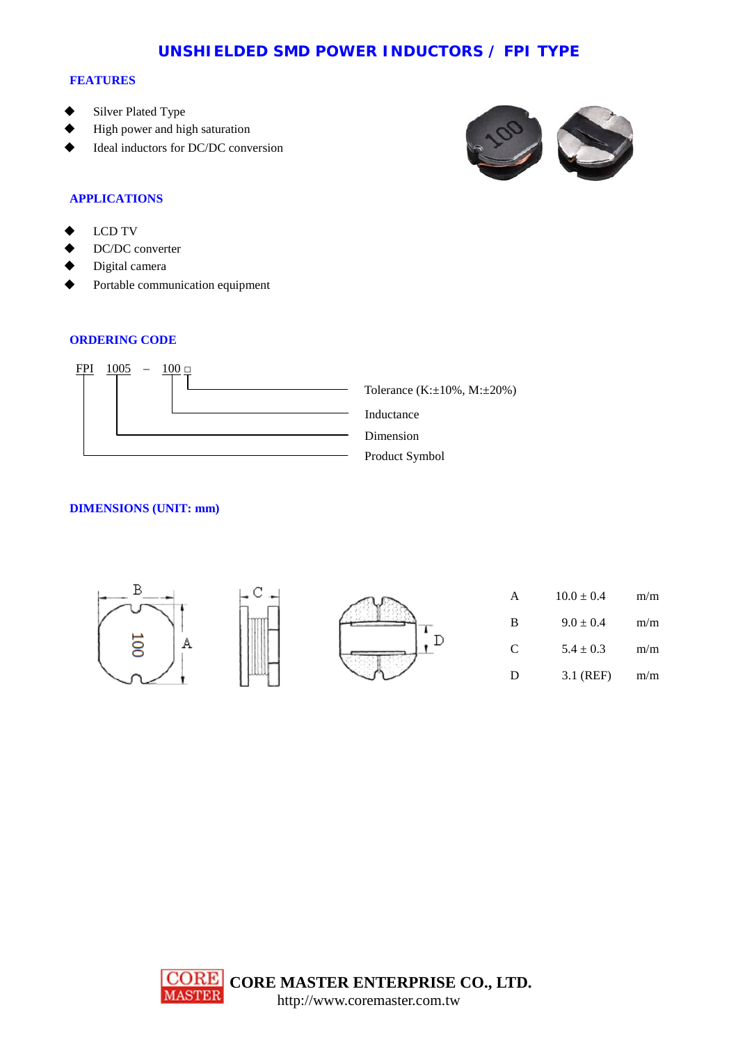## **UNSHIELDED SMD POWER INDUCTORS / FPI TYPE**

#### **FEATURES**

- Silver Plated Type
- High power and high saturation
- Ideal inductors for DC/DC conversion



## **APPLICATIONS**

- LCD TV
- DC/DC converter
- Digital camera
- Portable communication equipment

#### **ORDERING CODE**



## **DIMENSIONS (UNIT: mm)**